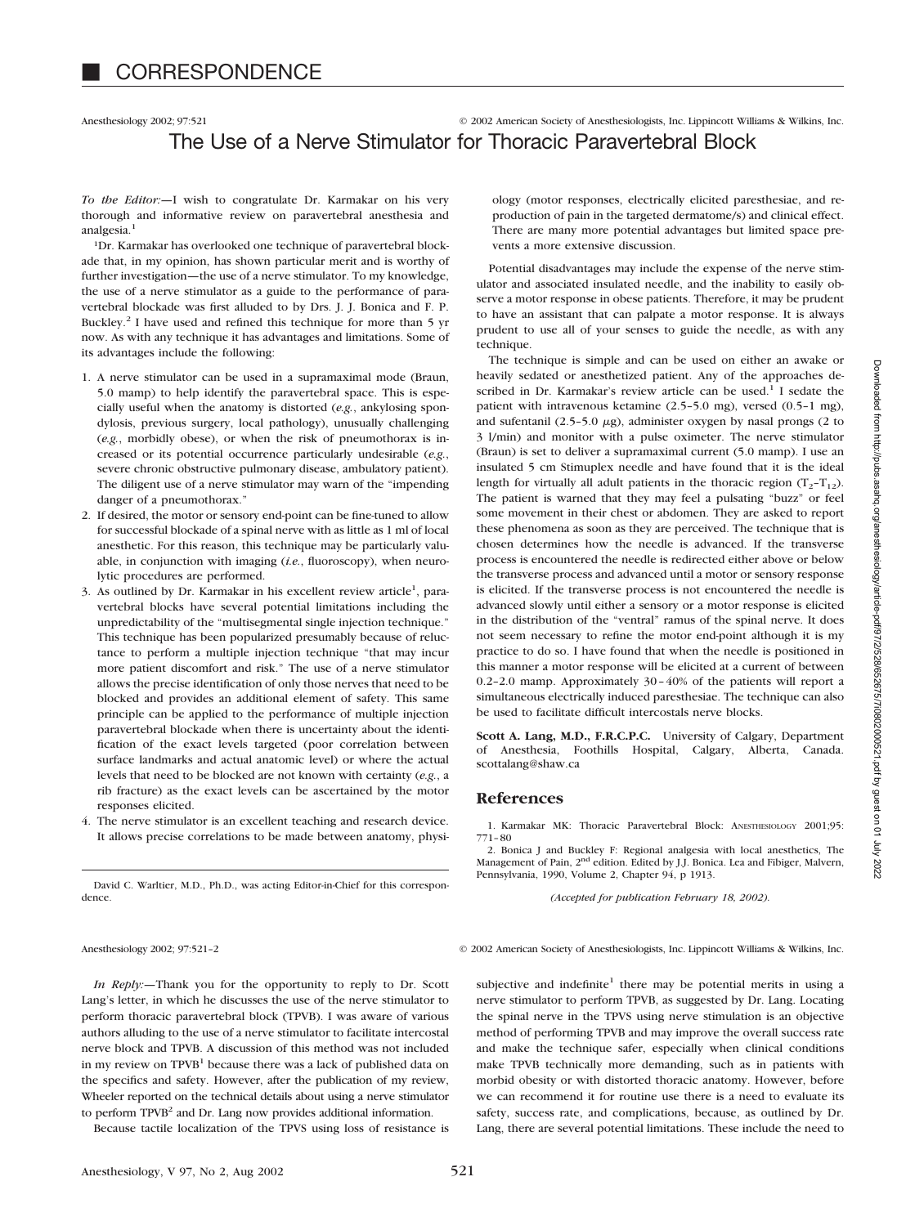## Anesthesiology 2002; 97:521 © 2002 American Society of Anesthesiologists, Inc. Lippincott Williams & Wilkins, Inc. The Use of a Nerve Stimulator for Thoracic Paravertebral Block

*To the Editor:—*I wish to congratulate Dr. Karmakar on his very thorough and informative review on paravertebral anesthesia and analgesia<sup>1</sup>

1Dr. Karmakar has overlooked one technique of paravertebral blockade that, in my opinion, has shown particular merit and is worthy of further investigation—the use of a nerve stimulator. To my knowledge, the use of a nerve stimulator as a guide to the performance of paravertebral blockade was first alluded to by Drs. J. J. Bonica and F. P. Buckley.2 I have used and refined this technique for more than 5 yr now. As with any technique it has advantages and limitations. Some of its advantages include the following:

- 1. A nerve stimulator can be used in a supramaximal mode (Braun, 5.0 mamp) to help identify the paravertebral space. This is especially useful when the anatomy is distorted (*e.g.*, ankylosing spondylosis, previous surgery, local pathology), unusually challenging (*e.g.*, morbidly obese), or when the risk of pneumothorax is increased or its potential occurrence particularly undesirable (*e.g.*, severe chronic obstructive pulmonary disease, ambulatory patient). The diligent use of a nerve stimulator may warn of the "impending danger of a pneumothorax."
- 2. If desired, the motor or sensory end-point can be fine-tuned to allow for successful blockade of a spinal nerve with as little as 1 ml of local anesthetic. For this reason, this technique may be particularly valuable, in conjunction with imaging (*i.e.*, fluoroscopy), when neurolytic procedures are performed.
- 3. As outlined by Dr. Karmakar in his excellent review article<sup>1</sup>, paravertebral blocks have several potential limitations including the unpredictability of the "multisegmental single injection technique." This technique has been popularized presumably because of reluctance to perform a multiple injection technique "that may incur more patient discomfort and risk." The use of a nerve stimulator allows the precise identification of only those nerves that need to be blocked and provides an additional element of safety. This same principle can be applied to the performance of multiple injection paravertebral blockade when there is uncertainty about the identification of the exact levels targeted (poor correlation between surface landmarks and actual anatomic level) or where the actual levels that need to be blocked are not known with certainty (*e.g.*, a rib fracture) as the exact levels can be ascertained by the motor responses elicited.
- 4. The nerve stimulator is an excellent teaching and research device. It allows precise correlations to be made between anatomy, physi-

David C. Warltier, M.D., Ph.D., was acting Editor-in-Chief for this correspondence.

ology (motor responses, electrically elicited paresthesiae, and reproduction of pain in the targeted dermatome/s) and clinical effect. There are many more potential advantages but limited space prevents a more extensive discussion.

Potential disadvantages may include the expense of the nerve stimulator and associated insulated needle, and the inability to easily observe a motor response in obese patients. Therefore, it may be prudent to have an assistant that can palpate a motor response. It is always prudent to use all of your senses to guide the needle, as with any technique.

The technique is simple and can be used on either an awake or heavily sedated or anesthetized patient. Any of the approaches described in Dr. Karmakar's review article can be used.<sup>1</sup> I sedate the patient with intravenous ketamine (2.5–5.0 mg), versed (0.5–1 mg), and sufentanil (2.5–5.0  $\mu$ g), administer oxygen by nasal prongs (2 to 3 l/min) and monitor with a pulse oximeter. The nerve stimulator (Braun) is set to deliver a supramaximal current (5.0 mamp). I use an insulated 5 cm Stimuplex needle and have found that it is the ideal length for virtually all adult patients in the thoracic region  $(T_2-T_{12})$ . The patient is warned that they may feel a pulsating "buzz" or feel some movement in their chest or abdomen. They are asked to report these phenomena as soon as they are perceived. The technique that is chosen determines how the needle is advanced. If the transverse process is encountered the needle is redirected either above or below the transverse process and advanced until a motor or sensory response is elicited. If the transverse process is not encountered the needle is advanced slowly until either a sensory or a motor response is elicited in the distribution of the "ventral" ramus of the spinal nerve. It does not seem necessary to refine the motor end-point although it is my practice to do so. I have found that when the needle is positioned in this manner a motor response will be elicited at a current of between 0.2–2.0 mamp. Approximately 30–40% of the patients will report a simultaneous electrically induced paresthesiae. The technique can also be used to facilitate difficult intercostals nerve blocks.

**Scott A. Lang, M.D., F.R.C.P.C.** University of Calgary, Department of Anesthesia, Foothills Hospital, Calgary, Alberta, Canada. scottalang@shaw.ca

## **References**

1. Karmakar MK: Thoracic Paravertebral Block: ANESTHESIOLOGY 2001;95: 771–80

2. Bonica J and Buckley F: Regional analgesia with local anesthetics, The Management of Pain, 2<sup>nd</sup> edition. Edited by J.J. Bonica. Lea and Fibiger, Malvern, Pennsylvania, 1990, Volume 2, Chapter 94, p 1913.

*(Accepted for publication February 18, 2002).*

Anesthesiology 2002; 97:521-2 © 2002 American Society of Anesthesiologists, Inc. Lippincott Williams & Wilkins, Inc.

*In Reply:—*Thank you for the opportunity to reply to Dr. Scott Lang's letter, in which he discusses the use of the nerve stimulator to perform thoracic paravertebral block (TPVB). I was aware of various authors alluding to the use of a nerve stimulator to facilitate intercostal nerve block and TPVB. A discussion of this method was not included in my review on TPVB<sup>1</sup> because there was a lack of published data on the specifics and safety. However, after the publication of my review, Wheeler reported on the technical details about using a nerve stimulator to perform TPVB<sup>2</sup> and Dr. Lang now provides additional information.

Because tactile localization of the TPVS using loss of resistance is

subjective and indefinite<sup>1</sup> there may be potential merits in using a nerve stimulator to perform TPVB, as suggested by Dr. Lang. Locating the spinal nerve in the TPVS using nerve stimulation is an objective method of performing TPVB and may improve the overall success rate and make the technique safer, especially when clinical conditions make TPVB technically more demanding, such as in patients with morbid obesity or with distorted thoracic anatomy. However, before we can recommend it for routine use there is a need to evaluate its safety, success rate, and complications, because, as outlined by Dr. Lang, there are several potential limitations. These include the need to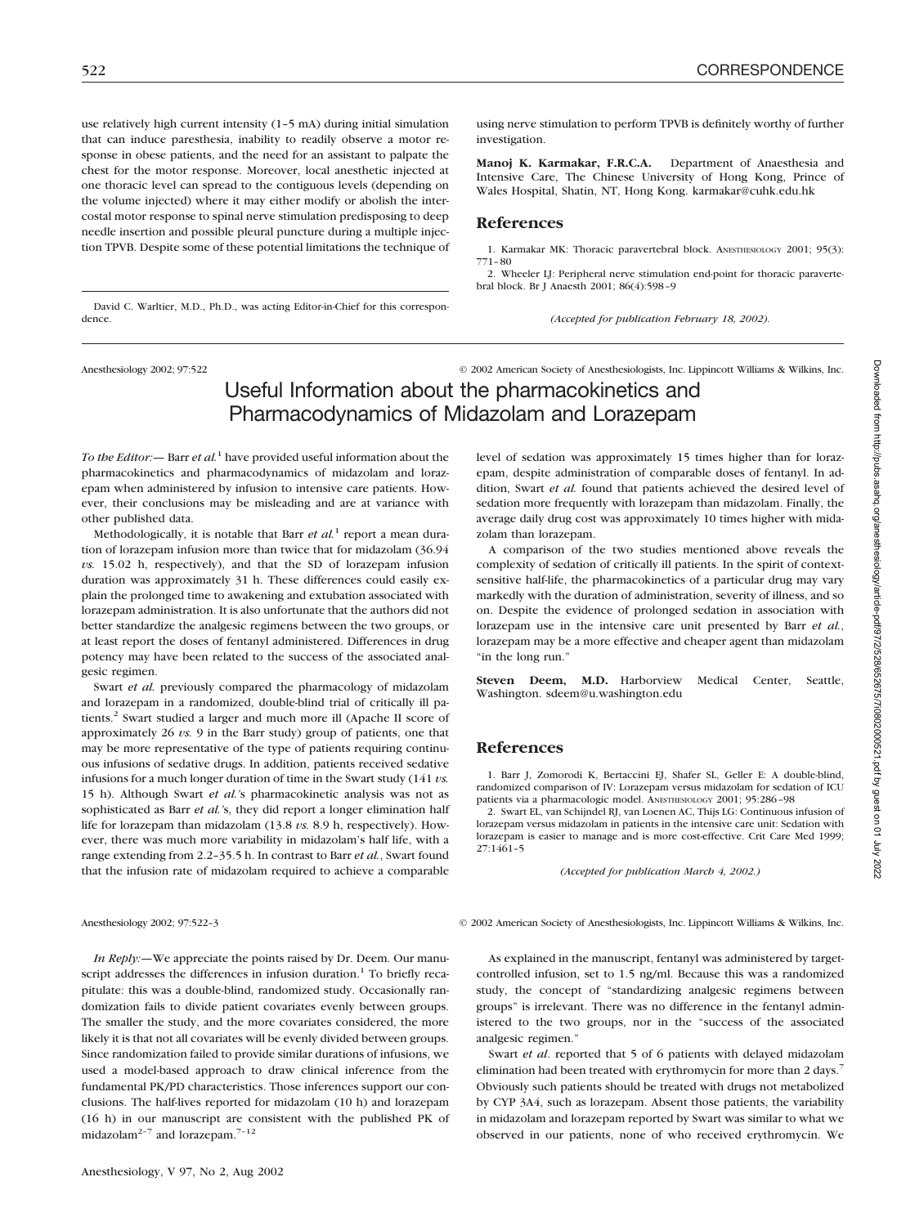dence.

use relatively high current intensity (1–5 mA) during initial simulation that can induce paresthesia, inability to readily observe a motor response in obese patients, and the need for an assistant to palpate the chest for the motor response. Moreover, local anesthetic injected at one thoracic level can spread to the contiguous levels (depending on the volume injected) where it may either modify or abolish the intercostal motor response to spinal nerve stimulation predisposing to deep needle insertion and possible pleural puncture during a multiple injection TPVB. Despite some of these potential limitations the technique of

David C. Warltier, M.D., Ph.D., was acting Editor-in-Chief for this correspon-

using nerve stimulation to perform TPVB is definitely worthy of further investigation.

**Manoj K. Karmakar, F.R.C.A.** Department of Anaesthesia and Intensive Care, The Chinese University of Hong Kong, Prince of Wales Hospital, Shatin, NT, Hong Kong. karmakar@cuhk.edu.hk

## **References**

1. Karmakar MK: Thoracic paravertebral block. ANESTHESIOLOGY 2001; 95(3): 771–80

2. Wheeler LJ: Peripheral nerve stimulation end-point for thoracic paravertebral block. Br J Anaesth 2001; 86(4):598–9

*(Accepted for publication February 18, 2002).*

Anesthesiology 2002; 97:522 © 2002 American Society of Anesthesiologists, Inc. Lippincott Williams & Wilkins, Inc.

## Useful Information about the pharmacokinetics and Pharmacodynamics of Midazolam and Lorazepam

*To the Editor:—* Barr *et al.*<sup>1</sup> have provided useful information about the pharmacokinetics and pharmacodynamics of midazolam and lorazepam when administered by infusion to intensive care patients. However, their conclusions may be misleading and are at variance with other published data.

Methodologically, it is notable that Barr *et al.*<sup>1</sup> report a mean duration of lorazepam infusion more than twice that for midazolam (36.94 *vs.* 15.02 h, respectively), and that the SD of lorazepam infusion duration was approximately 31 h. These differences could easily explain the prolonged time to awakening and extubation associated with lorazepam administration. It is also unfortunate that the authors did not better standardize the analgesic regimens between the two groups, or at least report the doses of fentanyl administered. Differences in drug potency may have been related to the success of the associated analgesic regimen.

Swart *et al.* previously compared the pharmacology of midazolam and lorazepam in a randomized, double-blind trial of critically ill patients.<sup>2</sup> Swart studied a larger and much more ill (Apache II score of approximately 26 *vs.* 9 in the Barr study) group of patients, one that may be more representative of the type of patients requiring continuous infusions of sedative drugs. In addition, patients received sedative infusions for a much longer duration of time in the Swart study (141 *vs.* 15 h). Although Swart *et al.'*s pharmacokinetic analysis was not as sophisticated as Barr *et al.'*s, they did report a longer elimination half life for lorazepam than midazolam (13.8 *vs.* 8.9 h, respectively). However, there was much more variability in midazolam's half life, with a range extending from 2.2–35.5 h. In contrast to Barr *et al.*, Swart found that the infusion rate of midazolam required to achieve a comparable

*In Reply:—*We appreciate the points raised by Dr. Deem. Our manuscript addresses the differences in infusion duration.<sup>1</sup> To briefly recapitulate: this was a double-blind, randomized study. Occasionally randomization fails to divide patient covariates evenly between groups. The smaller the study, and the more covariates considered, the more likely it is that not all covariates will be evenly divided between groups. Since randomization failed to provide similar durations of infusions, we used a model-based approach to draw clinical inference from the fundamental PK/PD characteristics. Those inferences support our conclusions. The half-lives reported for midazolam (10 h) and lorazepam (16 h) in our manuscript are consistent with the published PK of midazolam<sup>2-7</sup> and lorazepam.<sup>7-12</sup>

level of sedation was approximately 15 times higher than for lorazepam, despite administration of comparable doses of fentanyl. In addition, Swart *et al.* found that patients achieved the desired level of sedation more frequently with lorazepam than midazolam. Finally, the average daily drug cost was approximately 10 times higher with midazolam than lorazepam.

A comparison of the two studies mentioned above reveals the complexity of sedation of critically ill patients. In the spirit of contextsensitive half-life, the pharmacokinetics of a particular drug may vary markedly with the duration of administration, severity of illness, and so on. Despite the evidence of prolonged sedation in association with lorazepam use in the intensive care unit presented by Barr *et al.*, lorazepam may be a more effective and cheaper agent than midazolam "in the long run."

**Steven Deem, M.D.** Harborview Medical Center, Seattle, Washington. sdeem@u.washington.edu

### **References**

1. Barr J, Zomorodi K, Bertaccini EJ, Shafer SL, Geller E: A double-blind, randomized comparison of IV: Lorazepam versus midazolam for sedation of ICU patients via a pharmacologic model. ANESTHESIOLOGY 2001; 95:286–98

2. Swart EL, van Schijndel RJ, van Loenen AC, Thijs LG: Continuous infusion of lorazepam versus midazolam in patients in the intensive care unit: Sedation with lorazepam is easier to manage and is more cost-effective. Crit Care Med 1999; 27:1461–5

*(Accepted for publication March 4, 2002.)*

Anesthesiology 2002; 97:522-3 © 2002 American Society of Anesthesiologists, Inc. Lippincott Williams & Wilkins, Inc.

As explained in the manuscript, fentanyl was administered by targetcontrolled infusion, set to 1.5 ng/ml. Because this was a randomized study, the concept of "standardizing analgesic regimens between groups" is irrelevant. There was no difference in the fentanyl administered to the two groups, nor in the "success of the associated analgesic regimen."

Swart *et al*. reported that 5 of 6 patients with delayed midazolam elimination had been treated with erythromycin for more than 2 days.<sup>7</sup> Obviously such patients should be treated with drugs not metabolized by CYP 3A4, such as lorazepam. Absent those patients, the variability in midazolam and lorazepam reported by Swart was similar to what we observed in our patients, none of who received erythromycin. We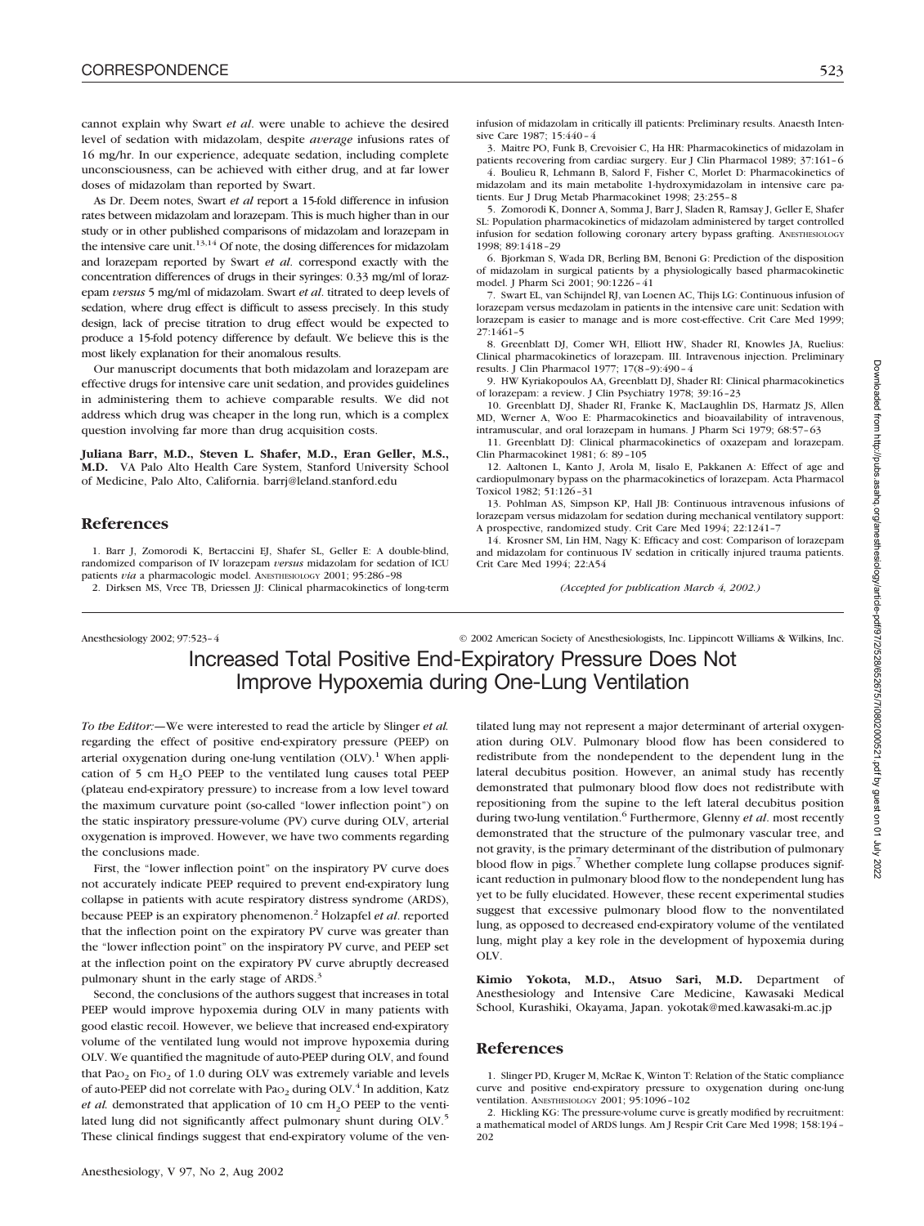cannot explain why Swart *et al*. were unable to achieve the desired level of sedation with midazolam, despite *average* infusions rates of 16 mg/hr. In our experience, adequate sedation, including complete unconsciousness, can be achieved with either drug, and at far lower doses of midazolam than reported by Swart.

As Dr. Deem notes, Swart *et al* report a 15-fold difference in infusion rates between midazolam and lorazepam. This is much higher than in our study or in other published comparisons of midazolam and lorazepam in the intensive care unit. $13,14$  Of note, the dosing differences for midazolam and lorazepam reported by Swart *et al*. correspond exactly with the concentration differences of drugs in their syringes: 0.33 mg/ml of lorazepam *versus* 5 mg/ml of midazolam. Swart *et al*. titrated to deep levels of sedation, where drug effect is difficult to assess precisely. In this study design, lack of precise titration to drug effect would be expected to produce a 15-fold potency difference by default. We believe this is the most likely explanation for their anomalous results.

Our manuscript documents that both midazolam and lorazepam are effective drugs for intensive care unit sedation, and provides guidelines in administering them to achieve comparable results. We did not address which drug was cheaper in the long run, which is a complex question involving far more than drug acquisition costs.

**Juliana Barr, M.D., Steven L. Shafer, M.D., Eran Geller, M.S., M.D.** VA Palo Alto Health Care System, Stanford University School of Medicine, Palo Alto, California. barrj@leland.stanford.edu

## **References**

1. Barr J, Zomorodi K, Bertaccini EJ, Shafer SL, Geller E: A double-blind, randomized comparison of IV lorazepam *versus* midazolam for sedation of ICU patients *via* a pharmacologic model. ANESTHESIOLOGY 2001; 95:286–98

2. Dirksen MS, Vree TB, Driessen JJ: Clinical pharmacokinetics of long-term

infusion of midazolam in critically ill patients: Preliminary results. Anaesth Intensive Care 1987; 15:440–4

3. Maitre PO, Funk B, Crevoisier C, Ha HR: Pharmacokinetics of midazolam in patients recovering from cardiac surgery. Eur J Clin Pharmacol 1989; 37:161–6 4. Boulieu R, Lehmann B, Salord F, Fisher C, Morlet D: Pharmacokinetics of

midazolam and its main metabolite 1-hydroxymidazolam in intensive care patients. Eur J Drug Metab Pharmacokinet 1998; 23:255–8

5. Zomorodi K, Donner A, Somma J, Barr J, Sladen R, Ramsay J, Geller E, Shafer SL: Population pharmacokinetics of midazolam administered by target controlled infusion for sedation following coronary artery bypass grafting. ANESTHESIOLOGY 1998; 89:1418–29

6. Bjorkman S, Wada DR, Berling BM, Benoni G: Prediction of the disposition of midazolam in surgical patients by a physiologically based pharmacokinetic model. J Pharm Sci 2001; 90:1226–41

7. Swart EL, van Schijndel RJ, van Loenen AC, Thijs LG: Continuous infusion of lorazepam versus medazolam in patients in the intensive care unit: Sedation with lorazepam is easier to manage and is more cost-effective. Crit Care Med 1999; 27:1461–5

8. Greenblatt DJ, Comer WH, Elliott HW, Shader RI, Knowles JA, Ruelius: Clinical pharmacokinetics of lorazepam. III. Intravenous injection. Preliminary results. J Clin Pharmacol 1977; 17(8–9):490–4

9. HW Kyriakopoulos AA, Greenblatt DJ, Shader RI: Clinical pharmacokinetics of lorazepam: a review. J Clin Psychiatry 1978; 39:16–23

10. Greenblatt DJ, Shader RI, Franke K, MacLaughlin DS, Harmatz JS, Allen MD, Werner A, Woo E: Pharmacokinetics and bioavailability of intravenous, intramuscular, and oral lorazepam in humans. J Pharm Sci 1979; 68:57–63

11. Greenblatt DJ: Clinical pharmacokinetics of oxazepam and lorazepam. Clin Pharmacokinet 1981; 6: 89–105

12. Aaltonen L, Kanto J, Arola M, Iisalo E, Pakkanen A: Effect of age and cardiopulmonary bypass on the pharmacokinetics of lorazepam. Acta Pharmacol Toxicol 1982; 51:126–31

13. Pohlman AS, Simpson KP, Hall JB: Continuous intravenous infusions of lorazepam versus midazolam for sedation during mechanical ventilatory support: A prospective, randomized study. Crit Care Med 1994; 22:1241–7

14. Krosner SM, Lin HM, Nagy K: Efficacy and cost: Comparison of lorazepam and midazolam for continuous IV sedation in critically injured trauma patients. Crit Care Med 1994; 22:A54

*(Accepted for publication March 4, 2002.)*

Anesthesiology 2002; 97:523–4 © 2002 American Society of Anesthesiologists, Inc. Lippincott Williams & Wilkins, Inc. Increased Total Positive End-Expiratory Pressure Does Not Improve Hypoxemia during One-Lung Ventilation

*To the Editor:—*We were interested to read the article by Slinger *et al.* regarding the effect of positive end-expiratory pressure (PEEP) on arterial oxygenation during one-lung ventilation  $(OLV)$ .<sup>1</sup> When application of 5 cm  $H_2O$  PEEP to the ventilated lung causes total PEEP (plateau end-expiratory pressure) to increase from a low level toward the maximum curvature point (so-called "lower inflection point") on the static inspiratory pressure-volume (PV) curve during OLV, arterial oxygenation is improved. However, we have two comments regarding the conclusions made.

First, the "lower inflection point" on the inspiratory PV curve does not accurately indicate PEEP required to prevent end-expiratory lung collapse in patients with acute respiratory distress syndrome (ARDS), because PEEP is an expiratory phenomenon.2 Holzapfel *et al*. reported that the inflection point on the expiratory PV curve was greater than the "lower inflection point" on the inspiratory PV curve, and PEEP set at the inflection point on the expiratory PV curve abruptly decreased pulmonary shunt in the early stage of ARDS.<sup>3</sup>

Second, the conclusions of the authors suggest that increases in total PEEP would improve hypoxemia during OLV in many patients with good elastic recoil. However, we believe that increased end-expiratory volume of the ventilated lung would not improve hypoxemia during OLV. We quantified the magnitude of auto-PEEP during OLV, and found that Pa $o_2$  on Fi $o_2$  of 1.0 during OLV was extremely variable and levels of auto-PEEP did not correlate with Pa $_{2}$  during OLV.<sup>4</sup> In addition, Katz *et al.* demonstrated that application of 10 cm  $H_2O$  PEEP to the ventilated lung did not significantly affect pulmonary shunt during OLV.<sup>5</sup> These clinical findings suggest that end-expiratory volume of the ven-

tilated lung may not represent a major determinant of arterial oxygenation during OLV. Pulmonary blood flow has been considered to redistribute from the nondependent to the dependent lung in the lateral decubitus position. However, an animal study has recently demonstrated that pulmonary blood flow does not redistribute with repositioning from the supine to the left lateral decubitus position during two-lung ventilation.<sup>6</sup> Furthermore, Glenny *et al.* most recently demonstrated that the structure of the pulmonary vascular tree, and not gravity, is the primary determinant of the distribution of pulmonary blood flow in pigs.<sup>7</sup> Whether complete lung collapse produces significant reduction in pulmonary blood flow to the nondependent lung has yet to be fully elucidated. However, these recent experimental studies suggest that excessive pulmonary blood flow to the nonventilated lung, as opposed to decreased end-expiratory volume of the ventilated lung, might play a key role in the development of hypoxemia during OLV.

**Kimio Yokota, M.D., Atsuo Sari, M.D.** Department of Anesthesiology and Intensive Care Medicine, Kawasaki Medical School, Kurashiki, Okayama, Japan. yokotak@med.kawasaki-m.ac.jp

### **References**

1. Slinger PD, Kruger M, McRae K, Winton T: Relation of the Static compliance curve and positive end-expiratory pressure to oxygenation during one-lung ventilation. ANESTHESIOLOGY 2001; 95:1096–102

2. Hickling KG: The pressure-volume curve is greatly modified by recruitment: a mathematical model of ARDS lungs. Am J Respir Crit Care Med 1998; 158:194– 202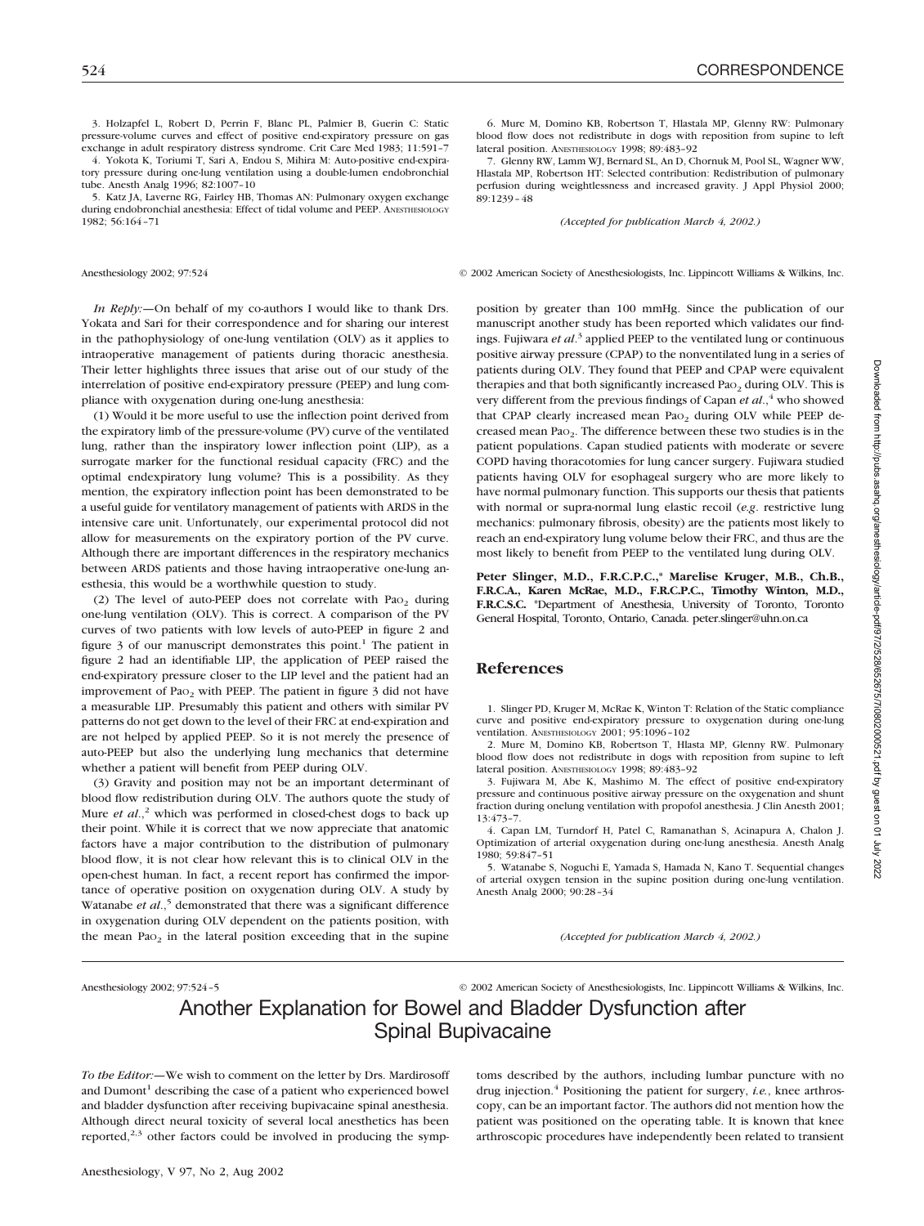3. Holzapfel L, Robert D, Perrin F, Blanc PL, Palmier B, Guerin C: Static pressure-volume curves and effect of positive end-expiratory pressure on gas exchange in adult respiratory distress syndrome. Crit Care Med 1983; 11:591–7

4. Yokota K, Toriumi T, Sari A, Endou S, Mihira M: Auto-positive end-expiratory pressure during one-lung ventilation using a double-lumen endobronchial tube. Anesth Analg 1996; 82:1007–10

5. Katz JA, Laverne RG, Fairley HB, Thomas AN: Pulmonary oxygen exchange during endobronchial anesthesia: Effect of tidal volume and PEEP. ANESTHESIOLOGY 1982; 56:164–71

*In Reply:—*On behalf of my co-authors I would like to thank Drs. Yokata and Sari for their correspondence and for sharing our interest in the pathophysiology of one-lung ventilation (OLV) as it applies to intraoperative management of patients during thoracic anesthesia. Their letter highlights three issues that arise out of our study of the interrelation of positive end-expiratory pressure (PEEP) and lung compliance with oxygenation during one-lung anesthesia:

(1) Would it be more useful to use the inflection point derived from the expiratory limb of the pressure-volume (PV) curve of the ventilated lung, rather than the inspiratory lower inflection point (LIP), as a surrogate marker for the functional residual capacity (FRC) and the optimal endexpiratory lung volume? This is a possibility. As they mention, the expiratory inflection point has been demonstrated to be a useful guide for ventilatory management of patients with ARDS in the intensive care unit. Unfortunately, our experimental protocol did not allow for measurements on the expiratory portion of the PV curve. Although there are important differences in the respiratory mechanics between ARDS patients and those having intraoperative one-lung anesthesia, this would be a worthwhile question to study.

(2) The level of auto-PEEP does not correlate with Pa $o<sub>2</sub>$  during one-lung ventilation (OLV). This is correct. A comparison of the PV curves of two patients with low levels of auto-PEEP in figure 2 and figure  $\beta$  of our manuscript demonstrates this point.<sup>1</sup> The patient in figure 2 had an identifiable LIP, the application of PEEP raised the end-expiratory pressure closer to the LIP level and the patient had an improvement of Pao<sub>2</sub> with PEEP. The patient in figure 3 did not have a measurable LIP. Presumably this patient and others with similar PV patterns do not get down to the level of their FRC at end-expiration and are not helped by applied PEEP. So it is not merely the presence of auto-PEEP but also the underlying lung mechanics that determine whether a patient will benefit from PEEP during OLV.

(3) Gravity and position may not be an important determinant of blood flow redistribution during OLV. The authors quote the study of Mure *et al.*,<sup>2</sup> which was performed in closed-chest dogs to back up their point. While it is correct that we now appreciate that anatomic factors have a major contribution to the distribution of pulmonary blood flow, it is not clear how relevant this is to clinical OLV in the open-chest human. In fact, a recent report has confirmed the importance of operative position on oxygenation during OLV. A study by Watanabe *et al.*,<sup>5</sup> demonstrated that there was a significant difference in oxygenation during OLV dependent on the patients position, with the mean Pa $o<sub>2</sub>$  in the lateral position exceeding that in the supine

6. Mure M, Domino KB, Robertson T, Hlastala MP, Glenny RW: Pulmonary blood flow does not redistribute in dogs with reposition from supine to left lateral position. ANESTHESIOLOGY 1998; 89:483–92

7. Glenny RW, Lamm WJ, Bernard SL, An D, Chornuk M, Pool SL, Wagner WW, Hlastala MP, Robertson HT: Selected contribution: Redistribution of pulmonary perfusion during weightlessness and increased gravity. J Appl Physiol 2000; 89:1239–48

*(Accepted for publication March 4, 2002.)*

Anesthesiology 2002; 97:524 © 2002 American Society of Anesthesiologists, Inc. Lippincott Williams & Wilkins, Inc.

position by greater than 100 mmHg. Since the publication of our manuscript another study has been reported which validates our findings. Fujiwara *et al*. <sup>3</sup> applied PEEP to the ventilated lung or continuous positive airway pressure (CPAP) to the nonventilated lung in a series of patients during OLV. They found that PEEP and CPAP were equivalent therapies and that both significantly increased Pa $o<sub>2</sub>$  during OLV. This is very different from the previous findings of Capan *et al.*,<sup>4</sup> who showed that CPAP clearly increased mean Pao<sub>2</sub> during OLV while PEEP decreased mean PaO2. The difference between these two studies is in the patient populations. Capan studied patients with moderate or severe COPD having thoracotomies for lung cancer surgery. Fujiwara studied patients having OLV for esophageal surgery who are more likely to have normal pulmonary function. This supports our thesis that patients with normal or supra-normal lung elastic recoil (*e.g*. restrictive lung mechanics: pulmonary fibrosis, obesity) are the patients most likely to reach an end-expiratory lung volume below their FRC, and thus are the most likely to benefit from PEEP to the ventilated lung during OLV.

**Peter Slinger, M.D., F.R.C.P.C.,\* Marelise Kruger, M.B., Ch.B., F.R.C.A., Karen McRae, M.D., F.R.C.P.C., Timothy Winton, M.D., F.R.C.S.C.** \*Department of Anesthesia, University of Toronto, Toronto General Hospital, Toronto, Ontario, Canada. peter.slinger@uhn.on.ca

## **References**

1. Slinger PD, Kruger M, McRae K, Winton T: Relation of the Static compliance curve and positive end-expiratory pressure to oxygenation during one-lung ventilation. ANESTHESIOLOGY 2001; 95:1096–102

2. Mure M, Domino KB, Robertson T, Hlasta MP, Glenny RW. Pulmonary blood flow does not redistribute in dogs with reposition from supine to left lateral position. ANESTHESIOLOGY 1998; 89:483–92

3. Fujiwara M, Abe K, Mashimo M. The effect of positive end-expiratory pressure and continuous positive airway pressure on the oxygenation and shunt fraction during onelung ventilation with propofol anesthesia. J Clin Anesth 2001; 13:473–7.

4. Capan LM, Turndorf H, Patel C, Ramanathan S, Acinapura A, Chalon J. Optimization of arterial oxygenation during one-lung anesthesia. Anesth Analg 1980; 59:847–51

5. Watanabe S, Noguchi E, Yamada S, Hamada N, Kano T. Sequential changes of arterial oxygen tension in the supine position during one-lung ventilation. Anesth Analg 2000; 90:28–34

*(Accepted for publication March 4, 2002.)*

Anesthesiology 2002; 97:524–5 © 2002 American Society of Anesthesiologists, Inc. Lippincott Williams & Wilkins, Inc.

# Another Explanation for Bowel and Bladder Dysfunction after Spinal Bupivacaine

*To the Editor:—*We wish to comment on the letter by Drs. Mardirosoff and Dumont<sup>1</sup> describing the case of a patient who experienced bowel and bladder dysfunction after receiving bupivacaine spinal anesthesia. Although direct neural toxicity of several local anesthetics has been reported, $2,3$  other factors could be involved in producing the symptoms described by the authors, including lumbar puncture with no drug injection.<sup>4</sup> Positioning the patient for surgery, *i.e.*, knee arthroscopy, can be an important factor. The authors did not mention how the patient was positioned on the operating table. It is known that knee arthroscopic procedures have independently been related to transient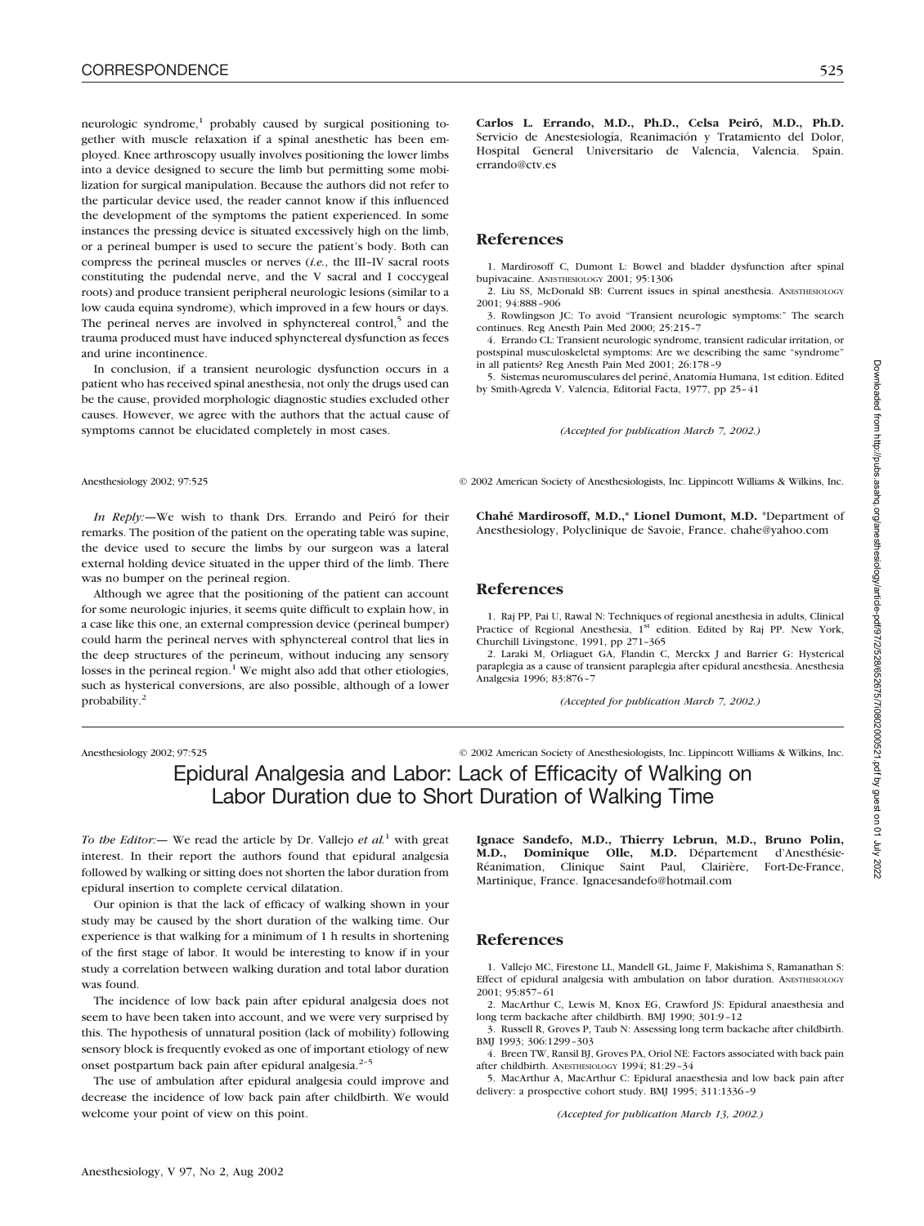neurologic syndrome, $1$  probably caused by surgical positioning together with muscle relaxation if a spinal anesthetic has been employed. Knee arthroscopy usually involves positioning the lower limbs into a device designed to secure the limb but permitting some mobilization for surgical manipulation. Because the authors did not refer to the particular device used, the reader cannot know if this influenced the development of the symptoms the patient experienced. In some instances the pressing device is situated excessively high on the limb, or a perineal bumper is used to secure the patient's body. Both can compress the perineal muscles or nerves (*i.e.*, the III–IV sacral roots constituting the pudendal nerve, and the V sacral and I coccygeal roots) and produce transient peripheral neurologic lesions (similar to a low cauda equina syndrome), which improved in a few hours or days. The perineal nerves are involved in sphynctereal control, $5$  and the trauma produced must have induced sphynctereal dysfunction as feces and urine incontinence.

In conclusion, if a transient neurologic dysfunction occurs in a patient who has received spinal anesthesia, not only the drugs used can be the cause, provided morphologic diagnostic studies excluded other causes. However, we agree with the authors that the actual cause of symptoms cannot be elucidated completely in most cases.

*In Reply:—*We wish to thank Drs. Errando and Peiró for their remarks. The position of the patient on the operating table was supine, the device used to secure the limbs by our surgeon was a lateral external holding device situated in the upper third of the limb. There was no bumper on the perineal region.

Although we agree that the positioning of the patient can account for some neurologic injuries, it seems quite difficult to explain how, in a case like this one, an external compression device (perineal bumper) could harm the perineal nerves with sphynctereal control that lies in the deep structures of the perineum, without inducing any sensory losses in the perineal region. $1$  We might also add that other etiologies, such as hysterical conversions, are also possible, although of a lower probability.2

Anesthesiology 2002; 97:525 © 2002 American Society of Anesthesiologists, Inc. Lippincott Williams & Wilkins, Inc.

## Epidural Analgesia and Labor: Lack of Efficacity of Walking on Labor Duration due to Short Duration of Walking Time

*To the Editor:—* We read the article by Dr. Vallejo *et al.*<sup>1</sup> with great interest. In their report the authors found that epidural analgesia followed by walking or sitting does not shorten the labor duration from epidural insertion to complete cervical dilatation.

Our opinion is that the lack of efficacy of walking shown in your study may be caused by the short duration of the walking time. Our experience is that walking for a minimum of 1 h results in shortening of the first stage of labor. It would be interesting to know if in your study a correlation between walking duration and total labor duration was found.

The incidence of low back pain after epidural analgesia does not seem to have been taken into account, and we were very surprised by this. The hypothesis of unnatural position (lack of mobility) following sensory block is frequently evoked as one of important etiology of new onset postpartum back pain after epidural analgesia.<sup>2-5</sup>

The use of ambulation after epidural analgesia could improve and decrease the incidence of low back pain after childbirth. We would welcome your point of view on this point.

**Carlos L. Errando, M.D., Ph.D., Celsa Peiró, M.D., Ph.D.** Servicio de Anestesiología, Reanimación y Tratamiento del Dolor, Hospital General Universitario de Valencia, Valencia. Spain. errando@ctv.es

## **References**

1. Mardirosoff C, Dumont L: Bowel and bladder dysfunction after spinal bupivacaine. ANESTHESIOLOGY 2001; 95:1306

2. Liu SS, McDonald SB: Current issues in spinal anesthesia. ANESTHESIOLOGY 2001; 94:888–906

3. Rowlingson JC: To avoid "Transient neurologic symptoms:" The search continues. Reg Anesth Pain Med 2000; 25:215–7

4. Errando CL: Transient neurologic syndrome, transient radicular irritation, or postspinal musculoskeletal symptoms: Are we describing the same "syndrome" in all patients? Reg Anesth Pain Med 2001; 26:178–9

5. Sistemas neuromusculares del periné, Anatomía Humana, 1st edition. Edited by Smith-Agreda V. Valencia, Editorial Facta, 1977, pp 25–41

*(Accepted for publication March 7, 2002.)*

Anesthesiology 2002; 97:525 © 2002 American Society of Anesthesiologists, Inc. Lippincott Williams & Wilkins, Inc.

**Chahé Mardirosoff, M.D.,\* Lionel Dumont, M.D.** \*Department of Anesthesiology, Polyclinique de Savoie, France. chahe@yahoo.com

## **References**

1. Raj PP, Pai U, Rawal N: Techniques of regional anesthesia in adults, Clinical Practice of Regional Anesthesia, 1<sup>st</sup> edition. Edited by Raj PP. New York, Churchill Livingstone, 1991, pp 271–365

2. Laraki M, Orliaguet GA, Flandin C, Merckx J and Barrier G: Hysterical paraplegia as a cause of transient paraplegia after epidural anesthesia. Anesthesia Analgesia 1996; 83:876–7

*(Accepted for publication March 7, 2002.)*

**Ignace Sandefo, M.D., Thierry Lebrun, M.D., Bruno Polin, M.D., Dominique Olle, M.D.** Département d'Anesthésie-Réanimation, Clinique Saint Paul, Clairière, Fort-De-France,

Martinique, France. Ignacesandefo@hotmail.com

## **References**

1. Vallejo MC, Firestone LL, Mandell GL, Jaime F, Makishima S, Ramanathan S: Effect of epidural analgesia with ambulation on labor duration. ANESTHESIOLOGY 2001; 95:857–61

2. MacArthur C, Lewis M, Knox EG, Crawford JS: Epidural anaesthesia and long term backache after childbirth. BMJ 1990; 301:9–12

3. Russell R, Groves P, Taub N: Assessing long term backache after childbirth. BMJ 1993; 306:1299–303

4. Breen TW, Ransil BJ, Groves PA, Oriol NE: Factors associated with back pain after childbirth. ANESTHESIOLOGY 1994; 81:29–34

5. MacArthur A, MacArthur C: Epidural anaesthesia and low back pain after delivery: a prospective cohort study. BMJ 1995; 311:1336–9

*(Accepted for publication March 13, 2002.)*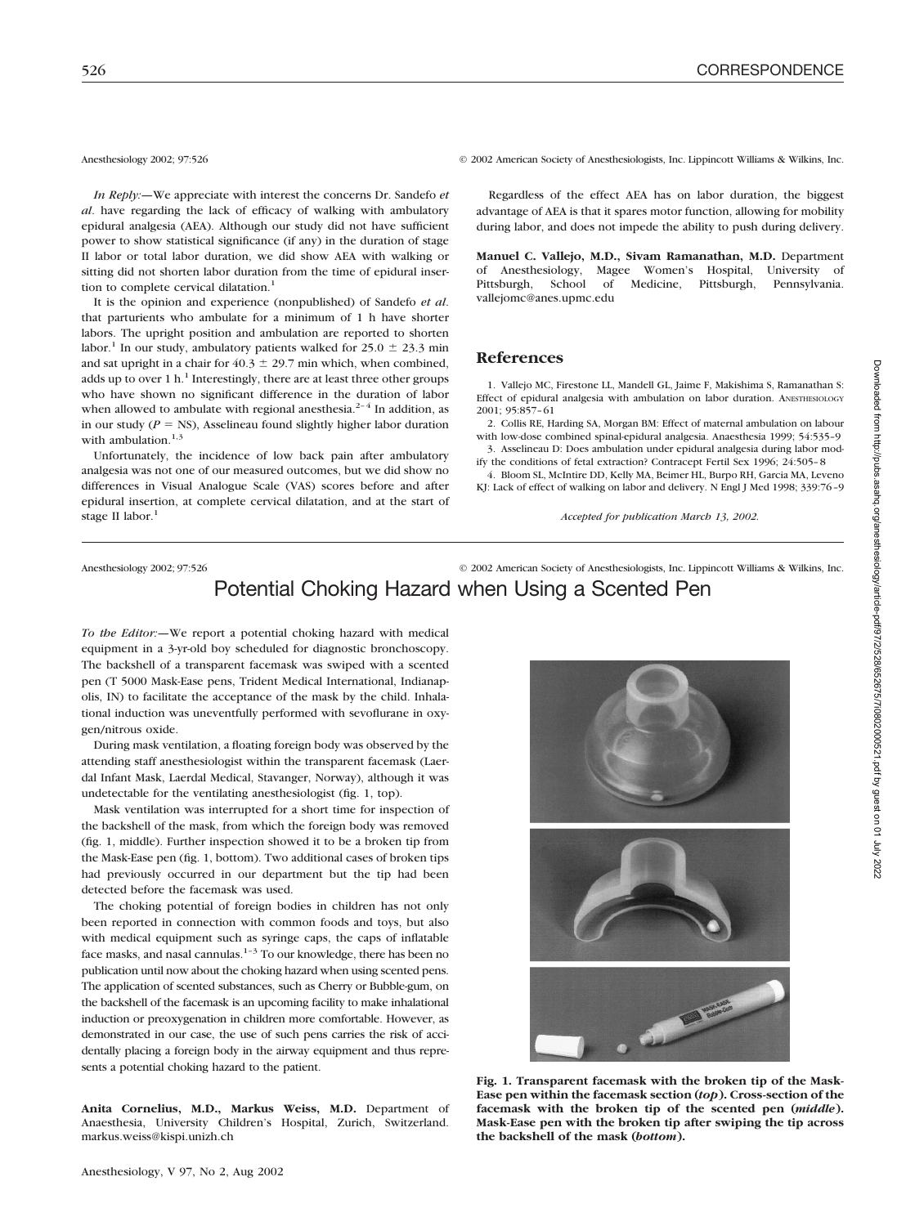*In Reply:—*We appreciate with interest the concerns Dr. Sandefo *et al*. have regarding the lack of efficacy of walking with ambulatory epidural analgesia (AEA). Although our study did not have sufficient power to show statistical significance (if any) in the duration of stage II labor or total labor duration, we did show AEA with walking or sitting did not shorten labor duration from the time of epidural insertion to complete cervical dilatation.<sup>1</sup>

It is the opinion and experience (nonpublished) of Sandefo *et al*. that parturients who ambulate for a minimum of 1 h have shorter labors. The upright position and ambulation are reported to shorten labor.<sup>1</sup> In our study, ambulatory patients walked for  $25.0 \pm 23.3$  min and sat upright in a chair for  $40.3 \pm 29.7$  min which, when combined, adds up to over 1 h.<sup>1</sup> Interestingly, there are at least three other groups who have shown no significant difference in the duration of labor when allowed to ambulate with regional anesthesia.<sup>2-4</sup> In addition, as in our study  $(P = NS)$ , Asselineau found slightly higher labor duration with ambulation. $1,3$ 

Unfortunately, the incidence of low back pain after ambulatory analgesia was not one of our measured outcomes, but we did show no differences in Visual Analogue Scale (VAS) scores before and after epidural insertion, at complete cervical dilatation, and at the start of stage II labor.<sup>1</sup>

Anesthesiology 2002; 97:526 © 2002 American Society of Anesthesiologists, Inc. Lippincott Williams & Wilkins, Inc.

Regardless of the effect AEA has on labor duration, the biggest advantage of AEA is that it spares motor function, allowing for mobility during labor, and does not impede the ability to push during delivery.

**Manuel C. Vallejo, M.D., Sivam Ramanathan, M.D.** Department of Anesthesiology, Magee Women's Hospital, University of Pittsburgh, School of Medicine, Pittsburgh, Pennsylvania. vallejomc@anes.upmc.edu

## **References**

1. Vallejo MC, Firestone LL, Mandell GL, Jaime F, Makishima S, Ramanathan S: Effect of epidural analgesia with ambulation on labor duration. ANESTHESIOLOGY 2001; 95:857–61

2. Collis RE, Harding SA, Morgan BM: Effect of maternal ambulation on labour with low-dose combined spinal-epidural analgesia. Anaesthesia 1999; 54:535–9

3. Asselineau D: Does ambulation under epidural analgesia during labor modify the conditions of fetal extraction? Contracept Fertil Sex 1996; 24:505–8 4. Bloom SL, McIntire DD, Kelly MA, Beimer HL, Burpo RH, Garcia MA, Leveno

KJ: Lack of effect of walking on labor and delivery. N Engl J Med 1998; 339:76–9

*Accepted for publication March 13, 2002.*

## Anesthesiology 2002; 97:526 © 2002 American Society of Anesthesiologists, Inc. Lippincott Williams & Wilkins, Inc. Potential Choking Hazard when Using a Scented Pen

*To the Editor:—*We report a potential choking hazard with medical equipment in a 3-yr-old boy scheduled for diagnostic bronchoscopy. The backshell of a transparent facemask was swiped with a scented pen (T 5000 Mask-Ease pens, Trident Medical International, Indianapolis, IN) to facilitate the acceptance of the mask by the child. Inhalational induction was uneventfully performed with sevoflurane in oxygen/nitrous oxide.

During mask ventilation, a floating foreign body was observed by the attending staff anesthesiologist within the transparent facemask (Laerdal Infant Mask, Laerdal Medical, Stavanger, Norway), although it was undetectable for the ventilating anesthesiologist (fig. 1, top).

Mask ventilation was interrupted for a short time for inspection of the backshell of the mask, from which the foreign body was removed (fig. 1, middle). Further inspection showed it to be a broken tip from the Mask-Ease pen (fig. 1, bottom). Two additional cases of broken tips had previously occurred in our department but the tip had been detected before the facemask was used.

The choking potential of foreign bodies in children has not only been reported in connection with common foods and toys, but also with medical equipment such as syringe caps, the caps of inflatable face masks, and nasal cannulas.<sup>1-3</sup> To our knowledge, there has been no publication until now about the choking hazard when using scented pens. The application of scented substances, such as Cherry or Bubble-gum, on the backshell of the facemask is an upcoming facility to make inhalational induction or preoxygenation in children more comfortable. However, as demonstrated in our case, the use of such pens carries the risk of accidentally placing a foreign body in the airway equipment and thus represents a potential choking hazard to the patient.

**Anita Cornelius, M.D., Markus Weiss, M.D.** Department of Anaesthesia, University Children's Hospital, Zurich, Switzerland. markus.weiss@kispi.unizh.ch



**Fig. 1. Transparent facemask with the broken tip of the Mask-Ease pen within the facemask section (***top***). Cross-section of the facemask with the broken tip of the scented pen (***middle***). Mask-Ease pen with the broken tip after swiping the tip across the backshell of the mask (***bottom***).**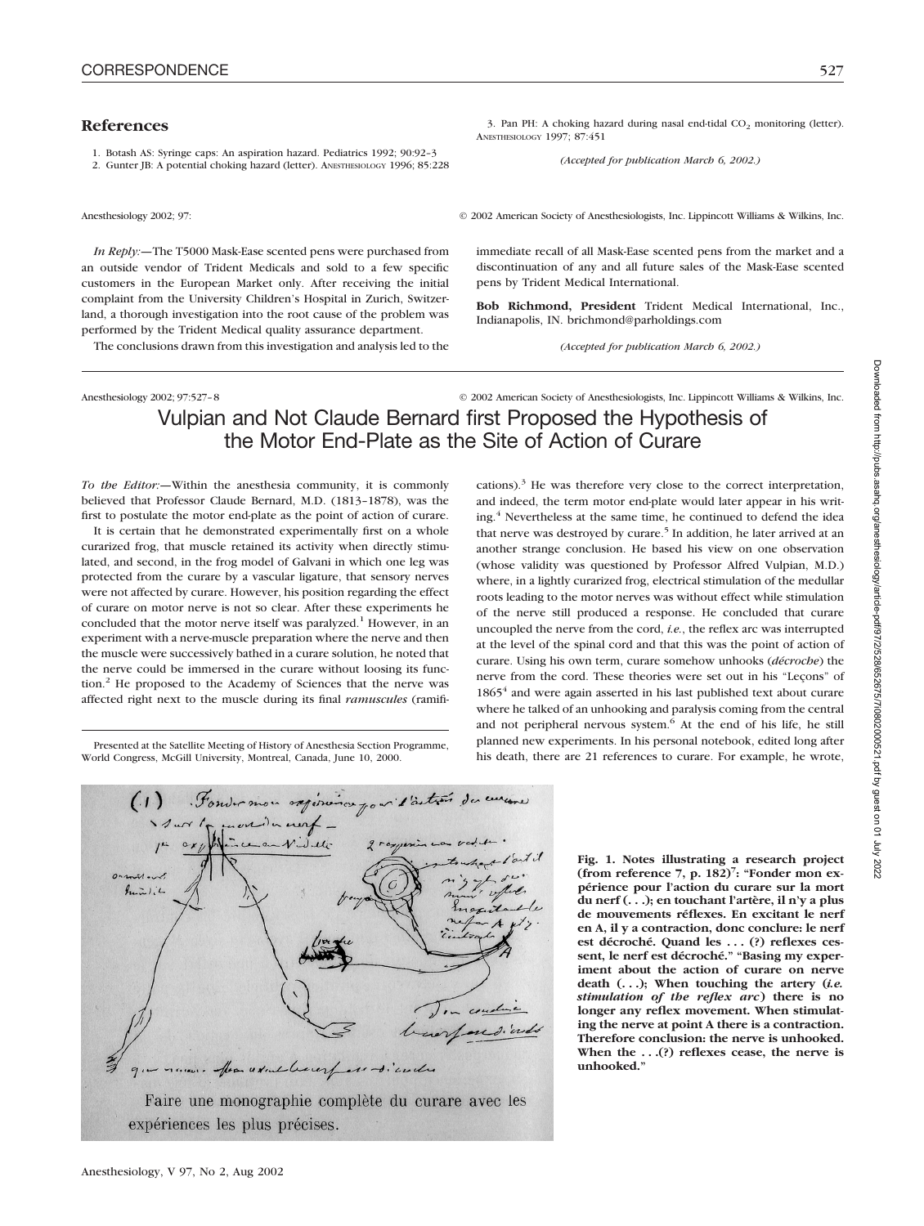## **References**

1. Botash AS: Syringe caps: An aspiration hazard. Pediatrics 1992; 90:92–3

2. Gunter JB: A potential choking hazard (letter). ANESTHESIOLOGY 1996; 85:228

Anesthesiology 2002; 97: © 2002 American Society of Anesthesiologists, Inc. Lippincott Williams & Wilkins, Inc.

*In Reply:—*The T5000 Mask-Ease scented pens were purchased from an outside vendor of Trident Medicals and sold to a few specific customers in the European Market only. After receiving the initial complaint from the University Children's Hospital in Zurich, Switzerland, a thorough investigation into the root cause of the problem was performed by the Trident Medical quality assurance department.

The conclusions drawn from this investigation and analysis led to the

Anesthesiology 2002; 97:527–8 © 2002 American Society of Anesthesiologists, Inc. Lippincott Williams & Wilkins, Inc.

# Vulpian and Not Claude Bernard first Proposed the Hypothesis of the Motor End-Plate as the Site of Action of Curare

*To the Editor:—*Within the anesthesia community, it is commonly believed that Professor Claude Bernard, M.D. (1813–1878), was the first to postulate the motor end-plate as the point of action of curare.

It is certain that he demonstrated experimentally first on a whole curarized frog, that muscle retained its activity when directly stimulated, and second, in the frog model of Galvani in which one leg was protected from the curare by a vascular ligature, that sensory nerves were not affected by curare. However, his position regarding the effect of curare on motor nerve is not so clear. After these experiments he concluded that the motor nerve itself was paralyzed.<sup>1</sup> However, in an experiment with a nerve-muscle preparation where the nerve and then the muscle were successively bathed in a curare solution, he noted that the nerve could be immersed in the curare without loosing its function.<sup>2</sup> He proposed to the Academy of Sciences that the nerve was affected right next to the muscle during its final *ramuscules* (ramifi-

Presented at the Satellite Meeting of History of Anesthesia Section Programme, World Congress, McGill University, Montreal, Canada, June 10, 2000.



**Fig. 1. Notes illustrating a research project (from reference 7, p. 182)7 : "Fonder mon expérience pour l'action du curare sur la mort du nerf (. . .); en touchant l'artère, il n'y a plus de mouvements réflexes. En excitant le nerf en A, il y a contraction, donc conclure: le nerf est décroché. Quand les . . . (?) reflexes cessent, le nerf est décroché." "Basing my experiment about the action of curare on nerve death (. . .); When touching the artery (***i.e. stimulation of the reflex arc***) there is no longer any reflex movement. When stimulating the nerve at point A there is a contraction. Therefore conclusion: the nerve is unhooked. When the . . .(?) reflexes cease, the nerve is unhooked."**

Downloaded from http://pubs.asahq.org/anesthesiology/article-pdf/97/2/528/652675/710802000521.pdf by guest on 01 July 2022 Downloaded from http://pubs.asahq.org/anesthesiology/article-pdf/97/2/528/652675/7i0802000521.pdf by guest on 01 July 2022

3. Pan PH: A choking hazard during nasal end-tidal  $CO<sub>2</sub>$  monitoring (letter). ANESTHESIOLOGY 1997; 87:451

*(Accepted for publication March 6, 2002.)*

immediate recall of all Mask-Ease scented pens from the market and a discontinuation of any and all future sales of the Mask-Ease scented pens by Trident Medical International.

**Bob Richmond, President** Trident Medical International, Inc., Indianapolis, IN. brichmond@parholdings.com

*(Accepted for publication March 6, 2002.)*

cations). $3$  He was therefore very close to the correct interpretation, and indeed, the term motor end-plate would later appear in his writing.<sup>4</sup> Nevertheless at the same time, he continued to defend the idea that nerve was destroyed by curare.<sup>5</sup> In addition, he later arrived at an another strange conclusion. He based his view on one observation (whose validity was questioned by Professor Alfred Vulpian, M.D.) where, in a lightly curarized frog, electrical stimulation of the medullar roots leading to the motor nerves was without effect while stimulation of the nerve still produced a response. He concluded that curare uncoupled the nerve from the cord, *i.e.*, the reflex arc was interrupted at the level of the spinal cord and that this was the point of action of curare. Using his own term, curare somehow unhooks (*décroche*) the nerve from the cord. These theories were set out in his "Leçons" of 1865<sup>4</sup> and were again asserted in his last published text about curare where he talked of an unhooking and paralysis coming from the central and not peripheral nervous system.<sup>6</sup> At the end of his life, he still planned new experiments. In his personal notebook, edited long after his death, there are 21 references to curare. For example, he wrote,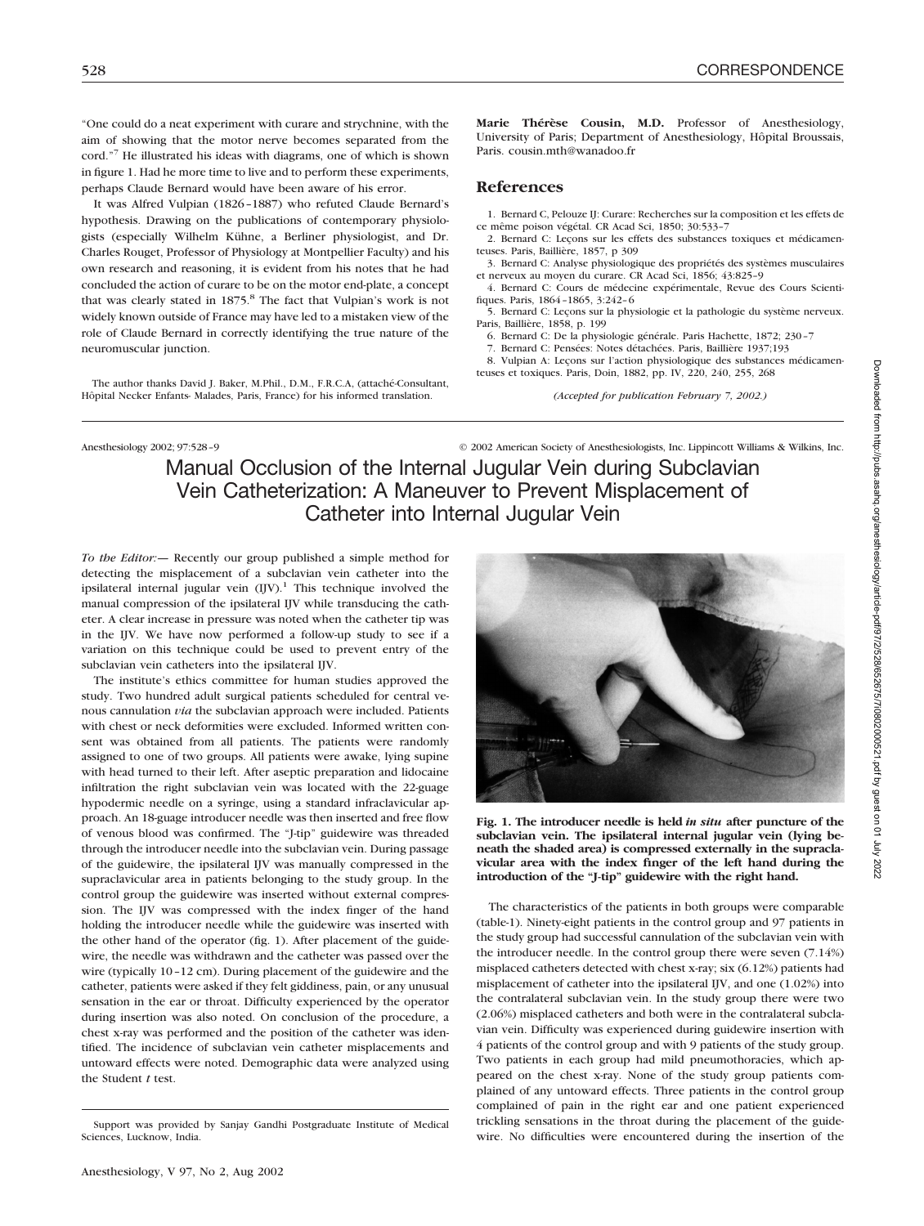"One could do a neat experiment with curare and strychnine, with the aim of showing that the motor nerve becomes separated from the cord."7 He illustrated his ideas with diagrams, one of which is shown in figure 1. Had he more time to live and to perform these experiments, perhaps Claude Bernard would have been aware of his error.

It was Alfred Vulpian (1826–1887) who refuted Claude Bernard's hypothesis. Drawing on the publications of contemporary physiologists (especially Wilhelm Kühne, a Berliner physiologist, and Dr. Charles Rouget, Professor of Physiology at Montpellier Faculty) and his own research and reasoning, it is evident from his notes that he had concluded the action of curare to be on the motor end-plate, a concept that was clearly stated in 1875.<sup>8</sup> The fact that Vulpian's work is not widely known outside of France may have led to a mistaken view of the role of Claude Bernard in correctly identifying the true nature of the neuromuscular junction.

The author thanks David J. Baker, M.Phil., D.M., F.R.C.A, (attaché-Consultant, Hôpital Necker Enfants- Malades, Paris, France) for his informed translation.

**Marie Thérèse Cousin, M.D.** Professor of Anesthesiology, University of Paris; Department of Anesthesiology, Hôpital Broussais, Paris. cousin.mth@wanadoo.fr

## **References**

1. Bernard C, Pelouze IJ: Curare: Recherches sur la composition et les effets de ce même poison végétal. CR Acad Sci, 1850; 30:533–7

2. Bernard C: Leçons sur les effets des substances toxiques et médicamenteuses. Paris, Baillière, 1857, p 309

3. Bernard C: Analyse physiologique des propriétés des systèmes musculaires et nerveux au moyen du curare. CR Acad Sci, 1856; 43:825–9

4. Bernard C: Cours de médecine expérimentale, Revue des Cours Scientifiques. Paris, 1864–1865, 3:242–6

5. Bernard C: Leçons sur la physiologie et la pathologie du système nerveux. Paris, Baillière, 1858, p. 199

6. Bernard C: De la physiologie générale. Paris Hachette, 1872; 230–7

7. Bernard C: Pensées: Notes détachées. Paris, Baillière 1937;193

8. Vulpian A: Leçons sur l'action physiologique des substances médicamenteuses et toxiques. Paris, Doin, 1882, pp. IV, 220, 240, 255, 268

*(Accepted for publication February 7, 2002.)*

Anesthesiology 2002; 97:528-9 © 2002 American Society of Anesthesiologists, Inc. Lippincott Williams & Wilkins, Inc.

Manual Occlusion of the Internal Jugular Vein during Subclavian Vein Catheterization: A Maneuver to Prevent Misplacement of Catheter into Internal Jugular Vein

*To the Editor:—* Recently our group published a simple method for detecting the misplacement of a subclavian vein catheter into the ipsilateral internal jugular vein  $(IIV)$ .<sup>1</sup> This technique involved the manual compression of the ipsilateral IJV while transducing the catheter. A clear increase in pressure was noted when the catheter tip was in the IJV. We have now performed a follow-up study to see if a variation on this technique could be used to prevent entry of the subclavian vein catheters into the ipsilateral IJV.

The institute's ethics committee for human studies approved the study. Two hundred adult surgical patients scheduled for central venous cannulation *via* the subclavian approach were included. Patients with chest or neck deformities were excluded. Informed written consent was obtained from all patients. The patients were randomly assigned to one of two groups. All patients were awake, lying supine with head turned to their left. After aseptic preparation and lidocaine infiltration the right subclavian vein was located with the 22-guage hypodermic needle on a syringe, using a standard infraclavicular approach. An 18-guage introducer needle was then inserted and free flow of venous blood was confirmed. The "J-tip" guidewire was threaded through the introducer needle into the subclavian vein. During passage of the guidewire, the ipsilateral IJV was manually compressed in the supraclavicular area in patients belonging to the study group. In the control group the guidewire was inserted without external compression. The IJV was compressed with the index finger of the hand holding the introducer needle while the guidewire was inserted with the other hand of the operator (fig. 1). After placement of the guidewire, the needle was withdrawn and the catheter was passed over the wire (typically 10–12 cm). During placement of the guidewire and the catheter, patients were asked if they felt giddiness, pain, or any unusual sensation in the ear or throat. Difficulty experienced by the operator during insertion was also noted. On conclusion of the procedure, a chest x-ray was performed and the position of the catheter was identified. The incidence of subclavian vein catheter misplacements and untoward effects were noted. Demographic data were analyzed using the Student *t* test.



**Fig. 1. The introducer needle is held** *in situ* **after puncture of the subclavian vein. The ipsilateral internal jugular vein (lying beneath the shaded area) is compressed externally in the supraclavicular area with the index finger of the left hand during the introduction of the "J-tip" guidewire with the right hand.**

The characteristics of the patients in both groups were comparable (table-1). Ninety-eight patients in the control group and 97 patients in the study group had successful cannulation of the subclavian vein with the introducer needle. In the control group there were seven (7.14%) misplaced catheters detected with chest x-ray; six (6.12%) patients had misplacement of catheter into the ipsilateral IJV, and one (1.02%) into the contralateral subclavian vein. In the study group there were two (2.06%) misplaced catheters and both were in the contralateral subclavian vein. Difficulty was experienced during guidewire insertion with 4 patients of the control group and with 9 patients of the study group. Two patients in each group had mild pneumothoracies, which appeared on the chest x-ray. None of the study group patients complained of any untoward effects. Three patients in the control group complained of pain in the right ear and one patient experienced trickling sensations in the throat during the placement of the guidewire. No difficulties were encountered during the insertion of the

Support was provided by Sanjay Gandhi Postgraduate Institute of Medical Sciences, Lucknow, India.